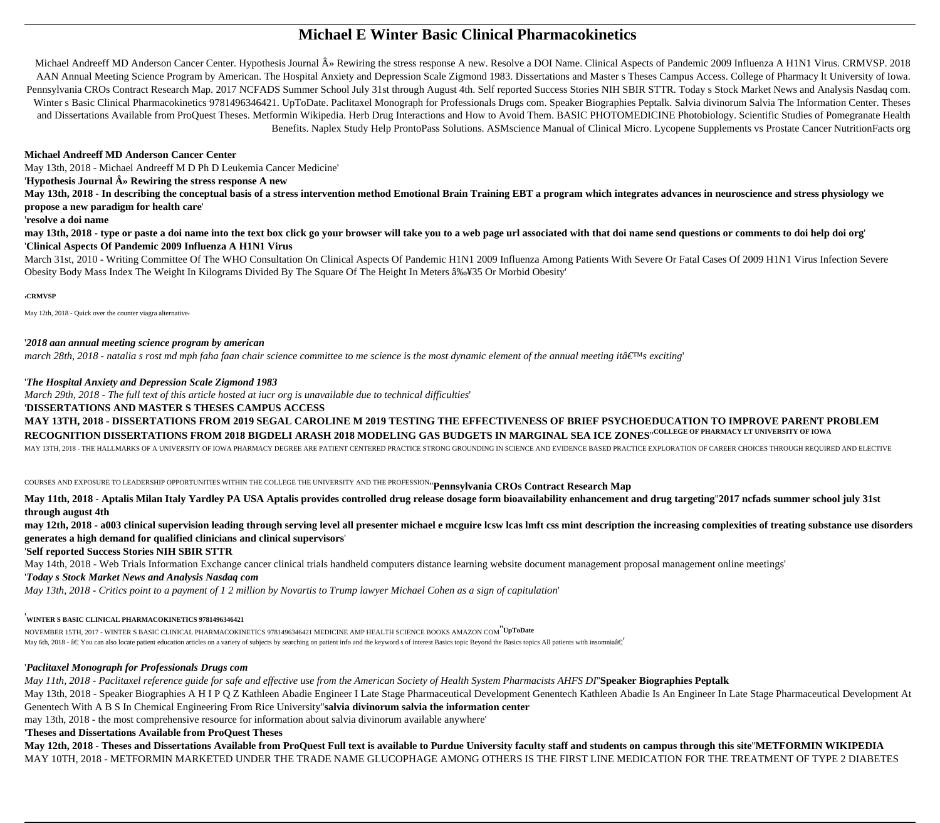# **Michael E Winter Basic Clinical Pharmacokinetics**

Michael Andreeff MD Anderson Cancer Center. Hypothesis Journal » Rewiring the stress response A new. Resolve a DOI Name. Clinical Aspects of Pandemic 2009 Influenza A H1N1 Virus. CRMVSP. 2018 AAN Annual Meeting Science Program by American. The Hospital Anxiety and Depression Scale Zigmond 1983. Dissertations and Master s Theses Campus Access. College of Pharmacy lt University of Iowa. Pennsylvania CROs Contract Research Map. 2017 NCFADS Summer School July 31st through August 4th. Self reported Success Stories NIH SBIR STTR. Today s Stock Market News and Analysis Nasdaq com. Winter s Basic Clinical Pharmacokinetics 9781496346421. UpToDate. Paclitaxel Monograph for Professionals Drugs com. Speaker Biographies Peptalk. Salvia divinorum Salvia The Information Center. Theses and Dissertations Available from ProQuest Theses. Metformin Wikipedia. Herb Drug Interactions and How to Avoid Them. BASIC PHOTOMEDICINE Photobiology. Scientific Studies of Pomegranate Health Benefits. Naplex Study Help ProntoPass Solutions. ASMscience Manual of Clinical Micro. Lycopene Supplements vs Prostate Cancer NutritionFacts org

## **Michael Andreeff MD Anderson Cancer Center**

May 13th, 2018 - Michael Andreeff M D Ph D Leukemia Cancer Medicine'

'**Hypothesis Journal » Rewiring the stress response A new**

**May 13th, 2018 - In describing the conceptual basis of a stress intervention method Emotional Brain Training EBT a program which integrates advances in neuroscience and stress physiology we propose a new paradigm for health care**'

#### '**resolve a doi name**

**may 13th, 2018 - type or paste a doi name into the text box click go your browser will take you to a web page url associated with that doi name send questions or comments to doi help doi org**' '**Clinical Aspects Of Pandemic 2009 Influenza A H1N1 Virus**

March 31st, 2010 - Writing Committee Of The WHO Consultation On Clinical Aspects Of Pandemic H1N1 2009 Influenza Among Patients With Severe Or Fatal Cases Of 2009 H1N1 Virus Infection Severe Obesity Body Mass Index The Weight In Kilograms Divided By The Square Of The Height In Meters ≥35 Or Morbid Obesity'

### '**CRMVSP**

May 12th, 2018 - Quick over the counter viagra alternative.

## '*2018 aan annual meeting science program by american*

*march 28th, 2018 - natalia s rost md mph faha faan chair science committee to me science is the most dynamic element of the annual meeting itâ*  $\epsilon_{\rm IMS}$  exciting'

## '*The Hospital Anxiety and Depression Scale Zigmond 1983*

*March 29th, 2018 - The full text of this article hosted at iucr org is unavailable due to technical difficulties*'

## '**DISSERTATIONS AND MASTER S THESES CAMPUS ACCESS**

**MAY 13TH, 2018 - DISSERTATIONS FROM 2019 SEGAL CAROLINE M 2019 TESTING THE EFFECTIVENESS OF BRIEF PSYCHOEDUCATION TO IMPROVE PARENT PROBLEM RECOGNITION DISSERTATIONS FROM 2018 BIGDELI ARASH 2018 MODELING GAS BUDGETS IN MARGINAL SEA ICE ZONES**''**COLLEGE OF PHARMACY LT UNIVERSITY OF IOWA**

MAY 13TH, 2018 - THE HALLMARKS OF A UNIVERSITY OF IOWA PHARMACY DEGREE ARE PATIENT CENTERED PRACTICE STRONG GROUNDING IN SCIENCE AND EVIDENCE BASED PRACTICE EXPLORATION OF CAREER CHOICES THROUGH REQUIRED AND ELECTIVE

COURSES AND EXPOSURE TO LEADERSHIP OPPORTUNITIES WITHIN THE COLLEGE THE UNIVERSITY AND THE PROFESSION''**Pennsylvania CROs Contract Research Map**

**May 11th, 2018 - Aptalis Milan Italy Yardley PA USA Aptalis provides controlled drug release dosage form bioavailability enhancement and drug targeting**''**2017 ncfads summer school july 31st through august 4th**

**may 12th, 2018 - a003 clinical supervision leading through serving level all presenter michael e mcguire lcsw lcas lmft css mint description the increasing complexities of treating substance use disorders generates a high demand for qualified clinicians and clinical supervisors**'

# '**Self reported Success Stories NIH SBIR STTR**

May 14th, 2018 - Web Trials Information Exchange cancer clinical trials handheld computers distance learning website document management proposal management online meetings'

## '*Today s Stock Market News and Analysis Nasdaq com*

*May 13th, 2018 - Critics point to a payment of 1 2 million by Novartis to Trump lawyer Michael Cohen as a sign of capitulation*'

## '**WINTER S BASIC CLINICAL PHARMACOKINETICS 9781496346421**

NOVEMBER 15TH, 2017 - WINTER S BASIC CLINICAL PHARMACOKINETICS 9781496346421 MEDICINE AMP HEALTH SCIENCE BOOKS AMAZON COM''**UpToDate** May 6th, 2018 -  $\hat{\mathbf{a}} \in \mathbb{R}$  You can also locate patient education articles on a variety of subjects by searching on patient info and the keyword s of interest Basics topic Beyond the Basics topics All patients with

# '*Paclitaxel Monograph for Professionals Drugs com*

*May 11th, 2018 - Paclitaxel reference guide for safe and effective use from the American Society of Health System Pharmacists AHFS DI*''**Speaker Biographies Peptalk** May 13th, 2018 - Speaker Biographies A H I P Q Z Kathleen Abadie Engineer I Late Stage Pharmaceutical Development Genentech Kathleen Abadie Is An Engineer In Late Stage Pharmaceutical Development At Genentech With A B S In Chemical Engineering From Rice University''**salvia divinorum salvia the information center**

may 13th, 2018 - the most comprehensive resource for information about salvia divinorum available anywhere'

## '**Theses and Dissertations Available from ProQuest Theses**

**May 12th, 2018 - Theses and Dissertations Available from ProQuest Full text is available to Purdue University faculty staff and students on campus through this site**''**METFORMIN WIKIPEDIA** MAY 10TH, 2018 - METFORMIN MARKETED UNDER THE TRADE NAME GLUCOPHAGE AMONG OTHERS IS THE FIRST LINE MEDICATION FOR THE TREATMENT OF TYPE 2 DIABETES